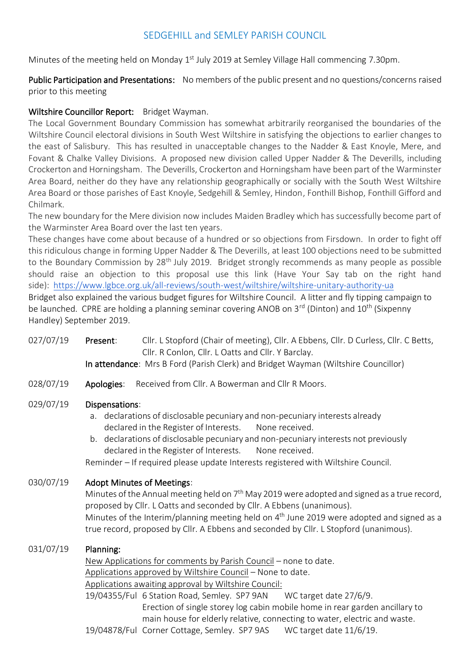## SEDGEHILL and SEMLEY PARISH COUNCIL

Minutes of the meeting held on Monday 1<sup>st</sup> July 2019 at Semley Village Hall commencing 7.30pm.

Public Participation and Presentations: No members of the public present and no questions/concerns raised prior to this meeting

### Wiltshire Councillor Report: Bridget Wayman.

The Local Government Boundary Commission has somewhat arbitrarily reorganised the boundaries of the Wiltshire Council electoral divisions in South West Wiltshire in satisfying the objections to earlier changes to the east of Salisbury. This has resulted in unacceptable changes to the Nadder & East Knoyle, Mere, and Fovant & Chalke Valley Divisions. A proposed new division called Upper Nadder & The Deverills, including Crockerton and Horningsham. The Deverills, Crockerton and Horningsham have been part of the Warminster Area Board, neither do they have any relationship geographically or socially with the South West Wiltshire Area Board or those parishes of East Knoyle, Sedgehill & Semley, Hindon, Fonthill Bishop, Fonthill Gifford and Chilmark.

The new boundary for the Mere division now includes Maiden Bradley which has successfully become part of the Warminster Area Board over the last ten years.

These changes have come about because of a hundred or so objections from Firsdown. In order to fight off this ridiculous change in forming Upper Nadder & The Deverills, at least 100 objections need to be submitted to the Boundary Commission by 28<sup>th</sup> July 2019. Bridget strongly recommends as many people as possible should raise an objection to this proposal use this link (Have Your Say tab on the right hand side): <https://www.lgbce.org.uk/all-reviews/south-west/wiltshire/wiltshire-unitary-authority-ua>

Bridget also explained the various budget figures for Wiltshire Council. A litter and fly tipping campaign to be launched. CPRE are holding a planning seminar covering ANOB on 3<sup>rd</sup> (Dinton) and 10<sup>th</sup> (Sixpenny Handley) September 2019.

- 027/07/19 Present: Cllr. L Stopford (Chair of meeting), Cllr. A Ebbens, Cllr. D Curless, Cllr. C Betts, Cllr. R Conlon, Cllr. L Oatts and Cllr. Y Barclay.
	- In attendance: Mrs B Ford (Parish Clerk) and Bridget Wayman (Wiltshire Councillor)
- 028/07/19 Apologies: Received from Cllr. A Bowerman and Cllr R Moors.

#### 029/07/19 Dispensations:

- a. declarations of disclosable pecuniary and non-pecuniary interests already declared in the Register of Interests. None received.
- b. declarations of disclosable pecuniary and non-pecuniary interests not previously declared in the Register of Interests. None received.

Reminder – If required please update Interests registered with Wiltshire Council.

## 030/07/19 Adopt Minutes of Meetings:

Minutes of the Annual meeting held on  $7<sup>th</sup>$  May 2019 were adopted and signed as a true record, proposed by Cllr. L Oatts and seconded by Cllr. A Ebbens (unanimous). Minutes of the Interim/planning meeting held on 4<sup>th</sup> June 2019 were adopted and signed as a true record, proposed by Cllr. A Ebbens and seconded by Cllr. L Stopford (unanimous).

#### 031/07/19 Planning:

 New Applications for comments by Parish Council – none to date. Applications approved by Wiltshire Council – None to date. Applications awaiting approval by Wiltshire Council: 19/04355/Ful 6 Station Road, Semley. SP7 9AN WC target date 27/6/9. Erection of single storey log cabin mobile home in rear garden ancillary to main house for elderly relative, connecting to water, electric and waste.

19/04878/Ful Corner Cottage, Semley. SP7 9AS WC target date 11/6/19.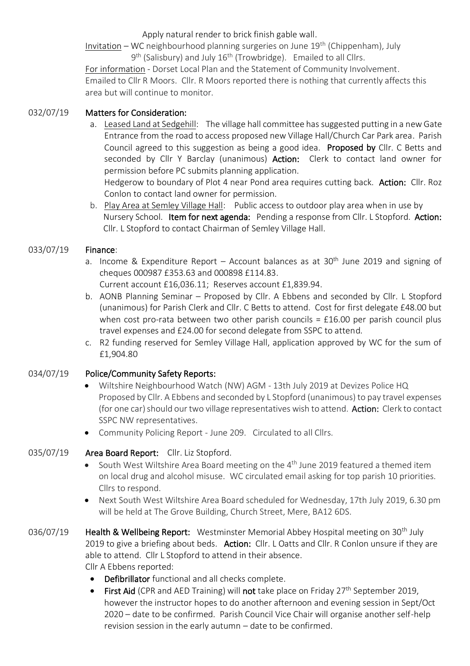Apply natural render to brick finish gable wall.

Invitation – WC neighbourhood planning surgeries on June 19th (Chippenham), July 9<sup>th</sup> (Salisbury) and July 16<sup>th</sup> (Trowbridge). Emailed to all Cllrs.

For information - Dorset Local Plan and the Statement of Community Involvement. Emailed to Cllr R Moors. Cllr. R Moors reported there is nothing that currently affects this area but will continue to monitor.

## 032/07/19 Matters for Consideration:

a. Leased Land at Sedgehill: The village hall committee has suggested putting in a new Gate Entrance from the road to access proposed new Village Hall/Church Car Park area. Parish Council agreed to this suggestion as being a good idea. Proposed by Cllr. C Betts and seconded by Cllr Y Barclay (unanimous) Action: Clerk to contact land owner for permission before PC submits planning application.

Hedgerow to boundary of Plot 4 near Pond area requires cutting back. Action: Cllr. Roz Conlon to contact land owner for permission.

b. Play Area at Semley Village Hall: Public access to outdoor play area when in use by Nursery School. Item for next agenda: Pending a response from Cllr. L Stopford. Action: Cllr. L Stopford to contact Chairman of Semley Village Hall.

## 033/07/19 Finance:

a. Income & Expenditure Report – Account balances as at  $30<sup>th</sup>$  June 2019 and signing of cheques 000987 £353.63 and 000898 £114.83.

Current account £16,036.11; Reserves account £1,839.94.

- b. AONB Planning Seminar Proposed by Cllr. A Ebbens and seconded by Cllr. L Stopford (unanimous) for Parish Clerk and Cllr. C Betts to attend. Cost for first delegate £48.00 but when cost pro-rata between two other parish councils =  $£16.00$  per parish council plus travel expenses and £24.00 for second delegate from SSPC to attend.
- c. R2 funding reserved for Semley Village Hall, application approved by WC for the sum of £1,904.80

# 034/07/19 Police/Community Safety Reports:

- Wiltshire Neighbourhood Watch (NW) AGM 13th July 2019 at Devizes Police HQ Proposed by Cllr. A Ebbens and seconded by L Stopford (unanimous) to pay travel expenses (for one car) should our two village representatives wish to attend. Action: Clerk to contact SSPC NW representatives.
- Community Policing Report June 209. Circulated to all Cllrs.

# 035/07/19 Area Board Report: Cllr. Liz Stopford.

- South West Wiltshire Area Board meeting on the 4<sup>th</sup> June 2019 featured a themed item on local drug and alcohol misuse. WC circulated email asking for top parish 10 priorities. Cllrs to respond.
- Next South West Wiltshire Area Board scheduled for Wednesday, 17th July 2019, 6.30 pm will be held at The Grove Building, Church Street, Mere, BA12 6DS.
- 036/07/19 Health & Wellbeing Report: Westminster Memorial Abbey Hospital meeting on 30<sup>th</sup> July 2019 to give a briefing about beds. Action: Cllr. L Oatts and Cllr. R Conlon unsure if they are able to attend. Cllr L Stopford to attend in their absence. Cllr A Ebbens reported:
	- Defibrillator functional and all checks complete.
	- First Aid (CPR and AED Training) will not take place on Friday  $27<sup>th</sup>$  September 2019, however the instructor hopes to do another afternoon and evening session in Sept/Oct 2020 – date to be confirmed. Parish Council Vice Chair will organise another self-help revision session in the early autumn – date to be confirmed.